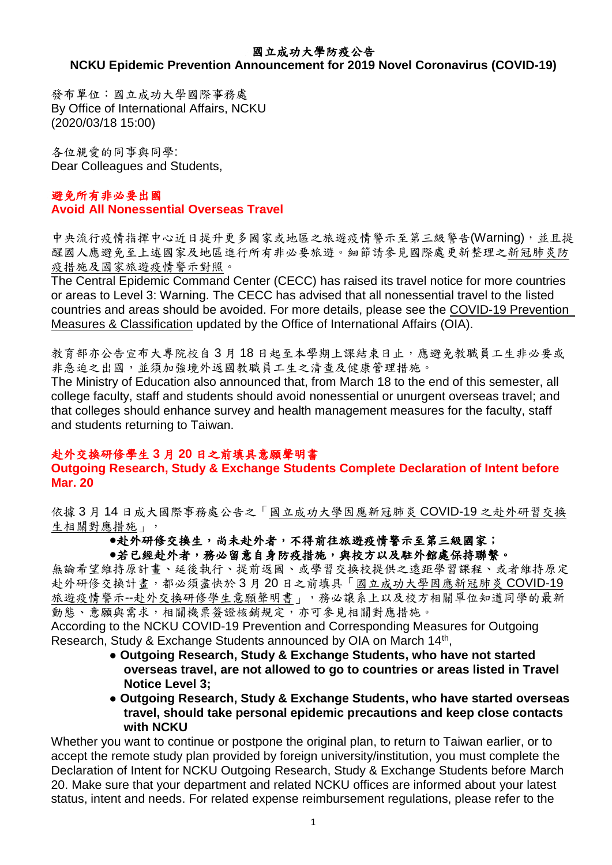### 國立成功大學防疫公告

# **NCKU Epidemic Prevention Announcement for 2019 Novel Coronavirus (COVID-19)**

發布單位:國立成功大學國際事務處 By Office of International Affairs, NCKU (2020/03/18 15:00)

各位親愛的同事與同學: Dear Colleagues and Students,

### 避免所有非必要出國 **Avoid All Nonessential Overseas Travel**

中央流行疫情指揮中心近日提升更多國家或地區之旅遊疫情警示至第三級警告(Warning),並且提 醒國人應避免至上述國家及地區進行所有非必要旅遊。細節請參見國際處更新整理[之新冠肺炎防](http://oia.ncku.edu.tw/p/406-1032-205184,r2888.php?Lang=zh-tw) [疫措施及國家旅遊疫情警示對照。](http://oia.ncku.edu.tw/p/406-1032-205184,r2888.php?Lang=zh-tw)

The Central Epidemic Command Center (CECC) has raised its travel notice for more countries or areas to Level 3: Warning. The CECC has advised that all nonessential travel to the listed countries and areas should be avoided. For more details, please see the [COVID-19 Prevention](http://oia.ncku.edu.tw/p/406-1032-205184,r2888.php?Lang=zh-tw)  [Measures & Classification](http://oia.ncku.edu.tw/p/406-1032-205184,r2888.php?Lang=zh-tw) updated by the Office of International Affairs (OIA).

教育部亦公告宣布大專院校自3月18日起至本學期上課結束日止,應避免教職員工生非必要或 非急迫之出國,並須加強境外返國教職員工生之清查及健康管理措施。

The Ministry of Education also announced that, from March 18 to the end of this semester, all college faculty, staff and students should avoid nonessential or unurgent overseas travel; and that colleges should enhance survey and health management measures for the faculty, staff and students returning to Taiwan.

## 赴外交換研修學生 **3** 月 **20** 日之前填具意願聲明書

#### **Outgoing Research, Study & Exchange Students Complete Declaration of Intent before Mar. 20**

依據 3 月 14 日成大國際事務處公告之[「國立成功大學因應新冠肺炎](http://oia.ncku.edu.tw/p/406-1032-205034,r2888.php?Lang=zh-tw) COVID-19 之赴外研習交換 [生相關對應措施」](http://oia.ncku.edu.tw/p/406-1032-205034,r2888.php?Lang=zh-tw),

### ●赴外研修交換生,尚未赴外者,不得前往旅遊疫情警示至第三級國家;

### ●若已經赴外者,務必留意自身防疫措施,與校方以及駐外館處保持聯繫。

無論希望維持原計畫、延後執行、提前返國、或學習交換校提供之遠距學習課程、或者維持原定 赴外研修交換計畫,都必須盡快於 3 月 20 日之前填具[「國立成功大學因應新冠肺炎](https://forms.gle/dj1GjyDX5yyAJekn8) COVID-19 旅遊疫情警示--[赴外交換研修學生意願聲明書」](https://forms.gle/dj1GjyDX5yyAJekn8),務必讓系上以及校方相關單位知道同學的最新 動態、意願與需求,相關機票簽證核銷規定,亦可參見相關對應措施。

According to the NCKU COVID-19 Prevention and Corresponding Measures for Outgoing Research, Study & Exchange Students announced by OIA on March 14<sup>th</sup>,

- **Outgoing Research, Study & Exchange Students, who have not started overseas travel, are not allowed to go to countries or areas listed in Travel Notice Level 3;**
- **● Outgoing Research, Study & Exchange Students, who have started overseas travel, should take personal epidemic precautions and keep close contacts with NCKU**

Whether you want to continue or postpone the original plan, to return to Taiwan earlier, or to accept the remote study plan provided by foreign university/institution, you must complete the Declaration of Intent for NCKU Outgoing Research, Study & Exchange Students before March 20. Make sure that your department and related NCKU offices are informed about your latest status, intent and needs. For related expense reimbursement regulations, please refer to the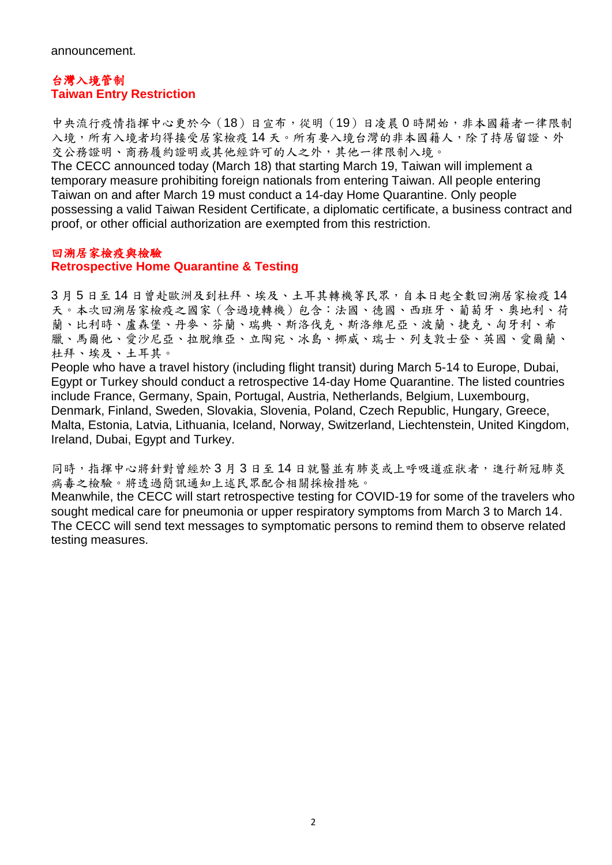## 台灣入境管制 **Taiwan Entry Restriction**

中央流行疫情指揮中心更於今(18)日宣布,從明(19)日凌晨 0 時開始,非本國籍者一律限制 入境,所有入境者均得接受居家檢疫14天。所有要入境台灣的非本國籍人,除了持居留證、外 交公務證明、商務履約證明或其他經許可的人之外,其他一律限制入境。

The CECC announced today (March 18) that starting March 19, Taiwan will implement a temporary measure prohibiting foreign nationals from entering Taiwan. All people entering Taiwan on and after March 19 must conduct a 14-day Home Quarantine. Only people possessing a valid Taiwan Resident Certificate, a diplomatic certificate, a business contract and proof, or other official authorization are exempted from this restriction.

### 回溯居家檢疫與檢驗

### **Retrospective Home Quarantine & Testing**

3月5日至14日曾赴歐洲及到杜拜、埃及、土耳其轉機等民眾,自本日起全數回溯居家檢疫14 天。本次回溯居家檢疫之國家(含過境轉機)包含:法國、德國、西班牙、葡萄牙、奧地利、荷 蘭、比利時、盧森堡、丹麥、芬蘭、瑞典、斯洛伐克、斯洛維尼亞、波蘭、捷克、匈牙利、希 臘、馬爾他、愛沙尼亞、拉脫維亞、立陶宛、冰島、挪威、瑞士、列支敦士登、英國、愛爾蘭、 杜拜、埃及、土耳其。

People who have a travel history (including flight transit) during March 5-14 to Europe, Dubai, Egypt or Turkey should conduct a retrospective 14-day Home Quarantine. The listed countries include France, Germany, Spain, Portugal, Austria, Netherlands, Belgium, Luxembourg, Denmark, Finland, Sweden, Slovakia, Slovenia, Poland, Czech Republic, Hungary, Greece, Malta, Estonia, Latvia, Lithuania, Iceland, Norway, Switzerland, Liechtenstein, United Kingdom, Ireland, Dubai, Egypt and Turkey.

同時,指揮中心將針對曾經於3月3日至14日就醫並有肺炎或上呼吸道症狀者,進行新冠肺炎 病毒之檢驗。將透過簡訊通知上述民眾配合相關採檢措施。

Meanwhile, the CECC will start retrospective testing for COVID-19 for some of the travelers who sought medical care for pneumonia or upper respiratory symptoms from March 3 to March 14. The CECC will send text messages to symptomatic persons to remind them to observe related testing measures.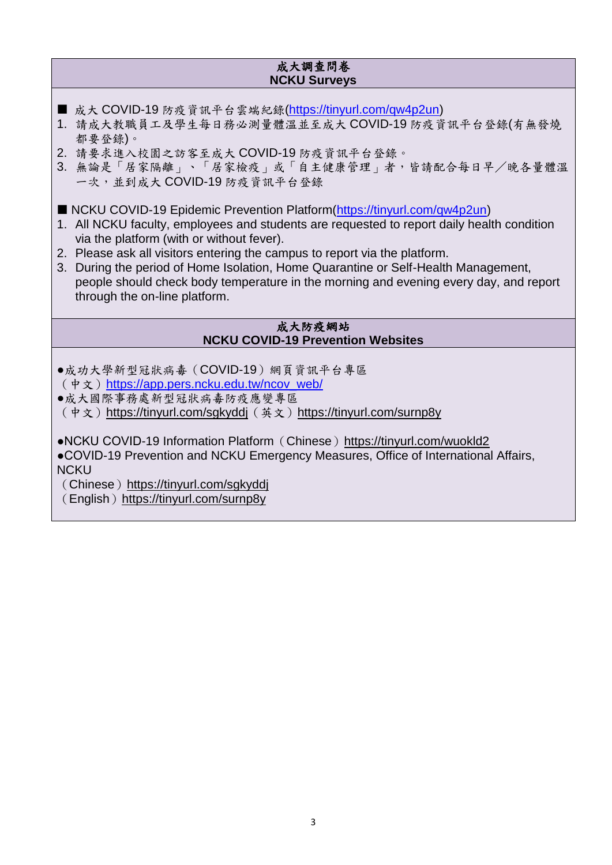### 成大調查問卷 **NCKU Surveys**

- 成大 COVID-19 防疫資訊平台雲端紀錄[\(https://tinyurl.com/qw4p2un\)](https://tinyurl.com/qw4p2un)
- 1. 請成大教職員工及學生每日務必測量體溫並至成大 COVID-19 防疫資訊平台登錄(有無發燒 都要登錄)。
- 2. 請要求進入校園之訪客至成大 COVID-19 防疫資訊平台登錄。
- 3. 無論是「居家隔離」、「居家檢疫」或「自主健康管理」者,皆請配合每日早/晚各量體溫 一次,並到成大 COVID-19 防疫資訊平台登錄
- NCKU COVID-19 Epidemic Prevention Platform[\(https://tinyurl.com/qw4p2un\)](https://tinyurl.com/qw4p2un)
- 1. All NCKU faculty, employees and students are requested to report daily health condition via the platform (with or without fever).
- 2. Please ask all visitors entering the campus to report via the platform.
- 3. During the period of Home Isolation, Home Quarantine or Self-Health Management, people should check body temperature in the morning and evening every day, and report through the on-line platform.

#### 成大防疫網站 **NCKU COVID-19 Prevention Websites**

- ●成功大學新型冠狀病毒(COVID-19)網頁資訊平台專區 (中文)[https://app.pers.ncku.edu.tw/ncov\\_web/](https://app.pers.ncku.edu.tw/ncov_web/)
- ●成大國際事務處新型冠狀病毒防疫應變專區 (中文)<https://tinyurl.com/sgkyddj>(英文)<https://tinyurl.com/surnp8y>
- ●NCKU COVID-19 Information Platform (Chinese) <https://tinyurl.com/wuokld2>
- ●COVID-19 Prevention and NCKU Emergency Measures, Office of International Affairs, **NCKU**
- (Chinese) <https://tinyurl.com/sgkyddj>
- (English) <https://tinyurl.com/surnp8y>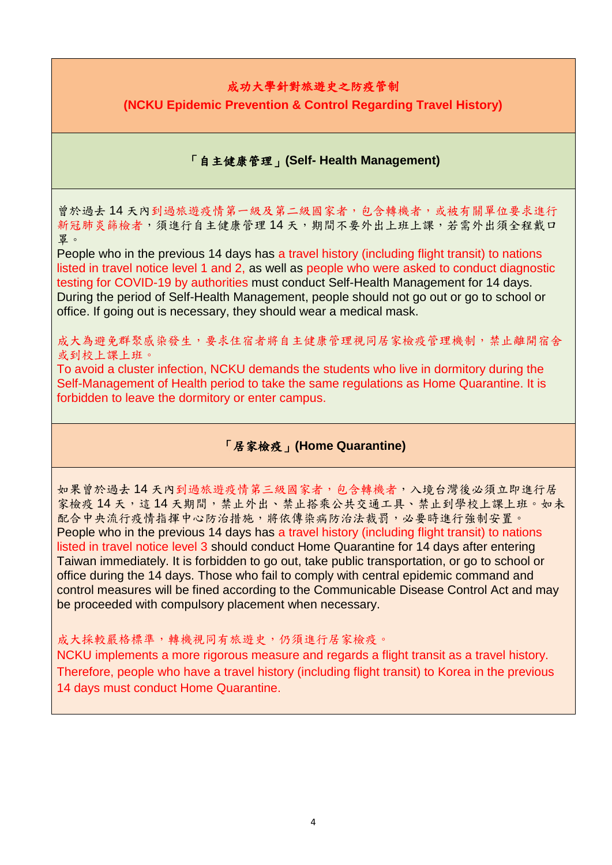# 成功大學針對旅遊史之防疫管制

**(NCKU Epidemic Prevention & Control Regarding Travel History)**

# 「自主健康管理」**(Self- Health Management)**

曾於過去 14 天內到過旅遊疫情第一級及第二級國家者,包含轉機者,或被有關單位要求進行 新冠肺炎篩檢者,須進行自主健康管理14天,期間不要外出上班上課,若需外出須全程戴口 罩。

People who in the previous 14 days has a travel history (including flight transit) to nations listed in travel notice level 1 and 2, as well as people who were asked to conduct diagnostic testing for COVID-19 by authorities must conduct Self-Health Management for 14 days. During the period of Self-Health Management, people should not go out or go to school or office. If going out is necessary, they should wear a medical mask.

成大為避免群聚感染發生,要求住宿者將自主健康管理視同居家檢疫管理機制,禁止離開宿舍 或到校上課上班。

To avoid a cluster infection, NCKU demands the students who live in dormitory during the Self-Management of Health period to take the same regulations as Home Quarantine. It is forbidden to leave the dormitory or enter campus.

# 「居家檢疫」**(Home Quarantine)**

如果曾於過去 14 天內到過旅遊疫情第三級國家者,包含轉機者,入境台灣後必須立即進行居 家檢疫 14 天,這14 天期間,禁止外出、禁止搭乘公共交通工具、禁止到學校上課上班。如未 配合中央流行疫情指揮中心防治措施,將依傳染病防治法裁罰,必要時進行強制安置。 People who in the previous 14 days has a travel history (including flight transit) to nations listed in travel notice level 3 should conduct Home Quarantine for 14 days after entering Taiwan immediately. It is forbidden to go out, take public transportation, or go to school or office during the 14 days. Those who fail to comply with central epidemic command and control measures will be fined according to the Communicable Disease Control Act and may be proceeded with compulsory placement when necessary.

### 成大採較嚴格標準,轉機視同有旅遊史,仍須進行居家檢疫。

NCKU implements a more rigorous measure and regards a flight transit as a travel history. Therefore, people who have a travel history (including flight transit) to Korea in the previous 14 days must conduct Home Quarantine.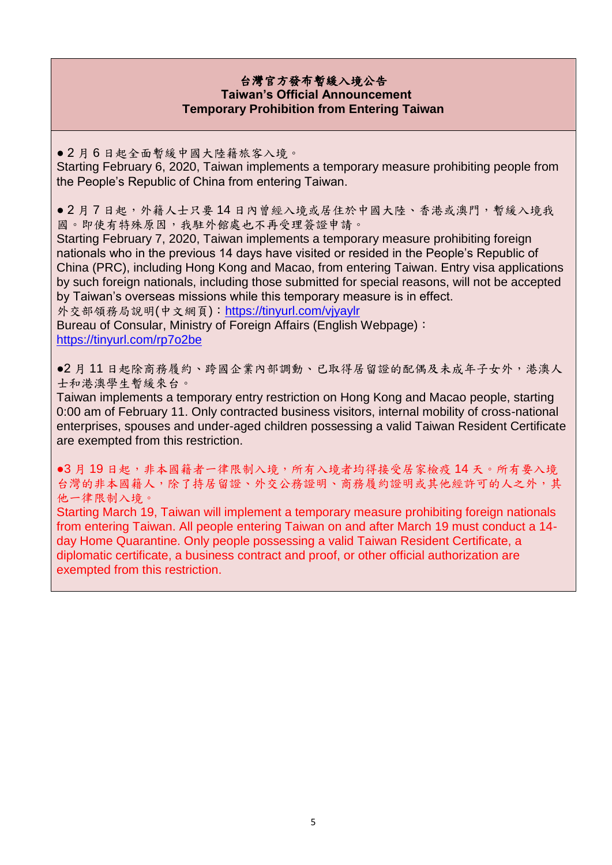### 台灣官方發布暫緩入境公告 **Taiwan's Official Announcement Temporary Prohibition from Entering Taiwan**

● 2 月 6 日起全面暫緩中國大陸籍旅客入境。

Starting February 6, 2020, Taiwan implements a temporary measure prohibiting people from the People's Republic of China from entering Taiwan.

● 2 月 7 日起,外籍人士只要 14 日內曾經入境或居住於中國大陸、香港或澳門,暫緩入境我 國。即使有特殊原因,我駐外館處也不再受理簽證申請。

Starting February 7, 2020, Taiwan implements a temporary measure prohibiting foreign nationals who in the previous 14 days have visited or resided in the People's Republic of China (PRC), including Hong Kong and Macao, from entering Taiwan. Entry visa applications by such foreign nationals, including those submitted for special reasons, will not be accepted by Taiwan's overseas missions while this temporary measure is in effect.

外交部領務局說明(中文網頁):<https://tinyurl.com/vjyaylr>

Bureau of Consular, Ministry of Foreign Affairs (English Webpage): <https://tinyurl.com/rp7o2be>

●2月11日起除商務履約、跨國企業內部調動、已取得居留證的配偶及未成年子女外,港澳人 士和港澳學生暫緩來台。

Taiwan implements a temporary entry restriction on Hong Kong and Macao people, starting 0:00 am of February 11. Only contracted business visitors, internal mobility of cross-national enterprises, spouses and under-aged children possessing a valid Taiwan Resident Certificate are exempted from this restriction.

●3月19日起,非本國籍者一律限制入境,所有入境者均得接受居家檢疫14天。所有要入境 台灣的非本國籍人,除了持居留證、外交公務證明、商務履約證明或其他經許可的人之外,其 他一律限制入境。

Starting March 19, Taiwan will implement a temporary measure prohibiting foreign nationals from entering Taiwan. All people entering Taiwan on and after March 19 must conduct a 14 day Home Quarantine. Only people possessing a valid Taiwan Resident Certificate, a diplomatic certificate, a business contract and proof, or other official authorization are exempted from this restriction.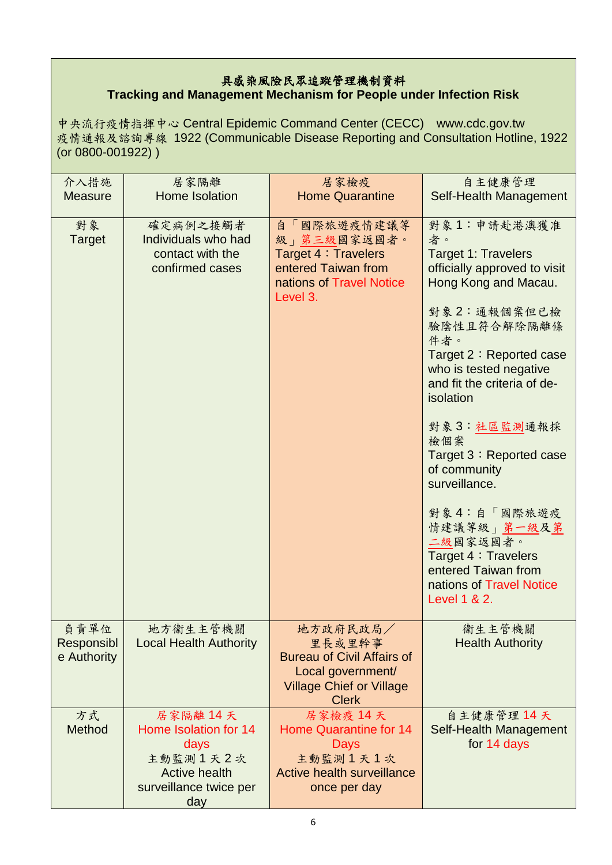# 具感染風險民眾追蹤管理機制資料 **Tracking and Management Mechanism for People under Infection Risk**

中央流行疫情指揮中心 Central Epidemic Command Center (CECC) www.cdc.gov.tw 疫情通報及諮詢專線 1922 (Communicable Disease Reporting and Consultation Hotline, 1922 (or 0800-001922) )

| 介入措施<br><b>Measure</b>            | 居家隔離<br>Home Isolation                                                                                        | 居家檢疫<br><b>Home Quarantine</b>                                                                                                  | 自主健康管理<br>Self-Health Management                                                                                                                                                                                                                                                                                                                                                                                                                                     |
|-----------------------------------|---------------------------------------------------------------------------------------------------------------|---------------------------------------------------------------------------------------------------------------------------------|----------------------------------------------------------------------------------------------------------------------------------------------------------------------------------------------------------------------------------------------------------------------------------------------------------------------------------------------------------------------------------------------------------------------------------------------------------------------|
| 對象<br><b>Target</b>               | 確定病例之接觸者<br>Individuals who had<br>contact with the<br>confirmed cases                                        | 自「國際旅遊疫情建議等<br>級」第三級國家返國者。<br>Target 4 : Travelers<br>entered Taiwan from<br>nations of Travel Notice<br>Level 3.               | 對象1:申請赴港澳獲准<br>者。<br><b>Target 1: Travelers</b><br>officially approved to visit<br>Hong Kong and Macau.<br>對象2:通報個案但已檢<br>驗陰性且符合解除隔離條<br>件者。<br>Target 2: Reported case<br>who is tested negative<br>and fit the criteria of de-<br>isolation<br>對象3:社區監測通報採<br>檢個案<br>Target 3: Reported case<br>of community<br>surveillance.<br>對象4:自「國際旅遊疫<br>情建議等級」第一級及第<br>二級國家返國者。<br>Target 4 : Travelers<br>entered Taiwan from<br>nations of Travel Notice<br>Level 1 & 2. |
| 負責單位<br>Responsibl<br>e Authority | 地方衛生主管機關<br><b>Local Health Authority</b>                                                                     | 地方政府民政局/<br>里長或里幹事<br><b>Bureau of Civil Affairs of</b><br>Local government/<br><b>Village Chief or Village</b><br><b>Clerk</b> | 衛生主管機關<br><b>Health Authority</b>                                                                                                                                                                                                                                                                                                                                                                                                                                    |
| 方式<br><b>Method</b>               | 居家隔離14天<br>Home Isolation for 14<br>days<br>主動監測1天2次<br><b>Active health</b><br>surveillance twice per<br>day | 居家檢疫 14天<br><b>Home Quarantine for 14</b><br>Days<br>主動監測1天1次<br><b>Active health surveillance</b><br>once per day              | 自主健康管理 14 天<br>Self-Health Management<br>for 14 days                                                                                                                                                                                                                                                                                                                                                                                                                 |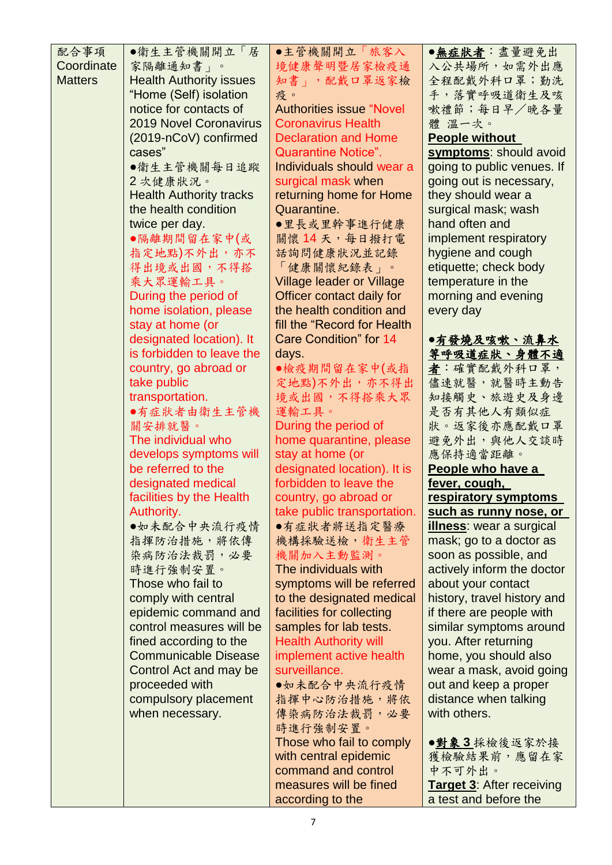| 配合事項           | ●衛生主管機關開立「居                    | ●主管機關開立「旅客入                      | ●無症狀者:盡量避免出                      |
|----------------|--------------------------------|----------------------------------|----------------------------------|
| Coordinate     | 家隔離通知書」。                       | 境健康聲明暨居家檢疫通                      | 入公共場所,如需外出應                      |
| <b>Matters</b> | <b>Health Authority issues</b> | 知書」, 配戴口罩返家檢                     | 全程配戴外科口罩;勤洗                      |
|                | "Home (Self) isolation         | 疫。                               | 手,落實呼吸道衛生及咳                      |
|                |                                |                                  |                                  |
|                | notice for contacts of         | <b>Authorities issue "Novel</b>  | 嗽禮節;每日早/晚各量                      |
|                | <b>2019 Novel Coronavirus</b>  | <b>Coronavirus Health</b>        | 體 溫一次。                           |
|                | (2019-nCoV) confirmed          | <b>Declaration and Home</b>      | <b>People without</b>            |
|                | cases"                         | <b>Quarantine Notice".</b>       | symptoms: should avoid           |
|                | ●衛生主管機關每日追蹤                    | Individuals should wear a        | going to public venues. If       |
|                |                                |                                  |                                  |
|                | 2次健康狀況。                        | surgical mask when               | going out is necessary,          |
|                | <b>Health Authority tracks</b> | returning home for Home          | they should wear a               |
|                | the health condition           | Quarantine.                      | surgical mask; wash              |
|                | twice per day.                 | ●里長或里幹事進行健康                      | hand often and                   |
|                | ●隔離期間留在家中(或                    | 關懷14天,每日撥打電                      | implement respiratory            |
|                | 指定地點)不外出,亦不                    | 話詢問健康狀況並記錄                       | hygiene and cough                |
|                | 得出境或出國,不得搭                     |                                  | etiquette; check body            |
|                |                                | 「健康關懷紀錄表」。                       |                                  |
|                | 乘大眾運輸工具。                       | <b>Village leader or Village</b> | temperature in the               |
|                | During the period of           | Officer contact daily for        | morning and evening              |
|                | home isolation, please         | the health condition and         | every day                        |
|                | stay at home (or               | fill the "Record for Health"     |                                  |
|                | designated location). It       | <b>Care Condition" for 14</b>    | ●有發燒及咳嗽、流鼻水                      |
|                | is forbidden to leave the      | days.                            | 等呼吸道症狀、身體不適                      |
|                | country, go abroad or          | ●檢疫期間留在家中(或指                     | 者:確實配戴外科口罩,                      |
|                | take public                    | 定地點)不外出,亦不得出                     | 儘速就醫,就醫時主動告                      |
|                | transportation.                | 境或出國,不得搭乘大眾                      | 知接觸史、旅遊史及身邊                      |
|                | ●有症狀者由衛生主管機                    | 運輸工具。                            | 是否有其他人有類似症                       |
|                |                                |                                  |                                  |
|                | 關安排就醫。                         | During the period of             | 狀。返家後亦應配戴口罩                      |
|                | The individual who             | home quarantine, please          | 避免外出,與他人交談時                      |
|                | develops symptoms will         | stay at home (or                 | 應保持適當距離。                         |
|                | be referred to the             | designated location). It is      | People who have a                |
|                | designated medical             | forbidden to leave the           | fever, cough,                    |
|                | facilities by the Health       | country, go abroad or            | respiratory symptoms             |
|                | Authority.                     | take public transportation.      | such as runny nose, or           |
|                | ●如未配合中央流行疫情                    | ●有症狀者將送指定醫療                      | <b>illness</b> : wear a surgical |
|                | 指揮防治措施,將依傳                     | 機構採驗送檢,衛生主管                      | mask; go to a doctor as          |
|                | 染病防治法裁罰,必要                     | 機關加入主動監測。                        | soon as possible, and            |
|                |                                | The individuals with             |                                  |
|                | 時進行強制安置。                       |                                  | actively inform the doctor       |
|                | Those who fail to              | symptoms will be referred        | about your contact               |
|                | comply with central            | to the designated medical        | history, travel history and      |
|                | epidemic command and           | facilities for collecting        | if there are people with         |
|                | control measures will be       | samples for lab tests.           | similar symptoms around          |
|                | fined according to the         | <b>Health Authority will</b>     | you. After returning             |
|                | <b>Communicable Disease</b>    | implement active health          | home, you should also            |
|                |                                |                                  |                                  |
|                | Control Act and may be         | surveillance.                    | wear a mask, avoid going         |
|                | proceeded with                 | ●如未配合中央流行疫情                      | out and keep a proper            |
|                | compulsory placement           | 指揮中心防治措施,將依                      | distance when talking            |
|                | when necessary.                | 傳染病防治法裁罰,必要                      | with others.                     |
|                |                                | 時進行強制安置。                         |                                  |
|                |                                | Those who fail to comply         | ●對象3採檢後返家於接                      |
|                |                                | with central epidemic            | 獲檢驗結果前,應留在家                      |
|                |                                | command and control              |                                  |
|                |                                |                                  | 中不可外出。                           |
|                |                                | measures will be fined           | <b>Target 3: After receiving</b> |
|                |                                | according to the                 | a test and before the            |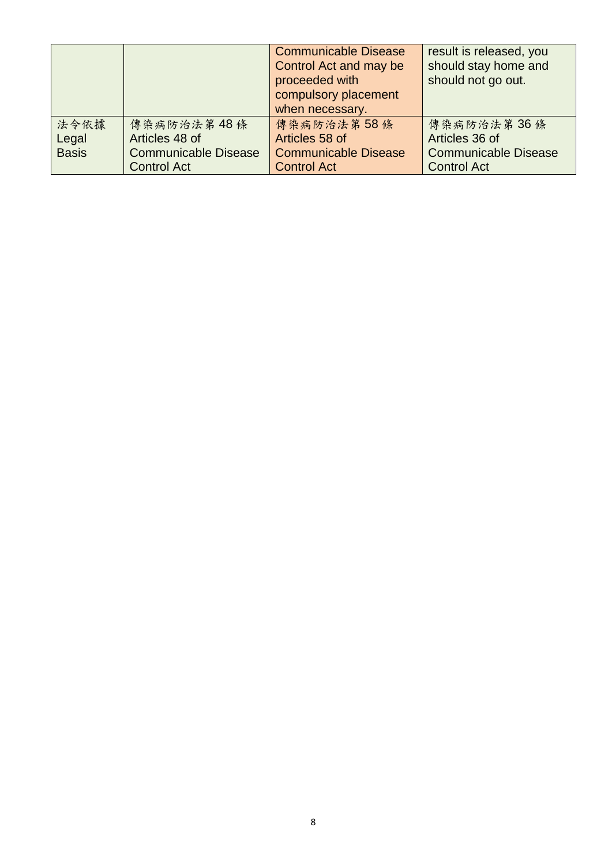|              |                             | <b>Communicable Disease</b><br>Control Act and may be<br>proceeded with<br>compulsory placement<br>when necessary. | result is released, you<br>should stay home and<br>should not go out. |
|--------------|-----------------------------|--------------------------------------------------------------------------------------------------------------------|-----------------------------------------------------------------------|
| 法令依據         | 傳染病防治法第48條                  | 傳染病防治法第58條                                                                                                         | 傳染病防治法第36條                                                            |
| Legal        | Articles 48 of              | Articles 58 of                                                                                                     | Articles 36 of                                                        |
| <b>Basis</b> | <b>Communicable Disease</b> | <b>Communicable Disease</b>                                                                                        | <b>Communicable Disease</b>                                           |
|              | <b>Control Act</b>          | <b>Control Act</b>                                                                                                 | <b>Control Act</b>                                                    |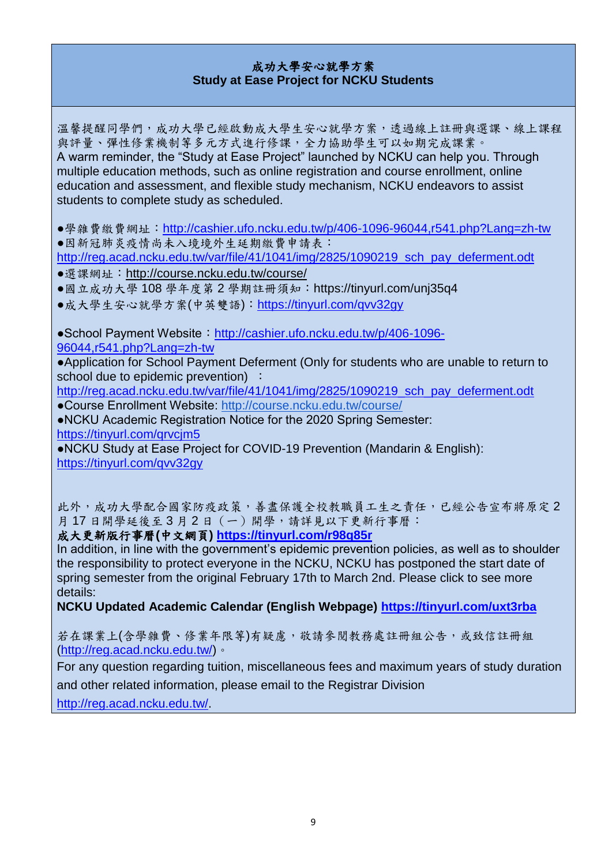### 成功大學安心就學方案 **Study at Ease Project for NCKU Students**

溫馨提醒同學們,成功大學已經啟動成大學生安心就學方案,透過線上註冊與選課、線上課程 與評量、彈性修業機制等多元方式進行修課,全力協助學生可以如期完成課業。 A warm reminder, the "Study at Ease Project" launched by NCKU can help you. Through multiple education methods, such as online registration and course enrollment, online education and assessment, and flexible study mechanism, NCKU endeavors to assist students to complete study as scheduled.

●學雜費繳費網址: <http://cashier.ufo.ncku.edu.tw/p/406-1096-96044,r541.php?Lang=zh-tw>

●因新冠肺炎疫情尚未入境境外生延期繳費申請表:

[http://reg.acad.ncku.edu.tw/var/file/41/1041/img/2825/1090219\\_sch\\_pay\\_deferment.odt](http://reg.acad.ncku.edu.tw/var/file/41/1041/img/2825/1090219_sch_pay_deferment.odt)

- ●選課網址:<http://course.ncku.edu.tw/course/>
- ●國立成功大學 108 學年度第 2 學期註冊須知: https://tinyurl.com/unj35q4

●成大學生安心就學方案(中英雙語): https://tinyurl.com/qvv32qv

●School Payment Website: [http://cashier.ufo.ncku.edu.tw/p/406-1096-](http://cashier.ufo.ncku.edu.tw/p/406-1096-96044,r541.php?Lang=zh-tw)

[96044,r541.php?Lang=zh-tw](http://cashier.ufo.ncku.edu.tw/p/406-1096-96044,r541.php?Lang=zh-tw)

●Application for School Payment Deferment (Only for students who are unable to return to school due to epidemic prevention) :

[http://reg.acad.ncku.edu.tw/var/file/41/1041/img/2825/1090219\\_sch\\_pay\\_deferment.odt](http://reg.acad.ncku.edu.tw/var/file/41/1041/img/2825/1090219_sch_pay_deferment.odt)

●Course Enrollment Website:<http://course.ncku.edu.tw/course/>

●NCKU Academic Registration Notice for the 2020 Spring Semester: <https://tinyurl.com/qrvcjm5>

●NCKU Study at Ease Project for COVID-19 Prevention (Mandarin & English): <https://tinyurl.com/qvv32gy>

此外,成功大學配合國家防疫政策,善盡保護全校教職員工生之責任,已經公告宣布將原定2 月17日開學延後至3月2日(一)開學,請詳見以下更新行事曆:

# 成大更新版行事曆**(**中文網頁**)<https://tinyurl.com/r98q85r>**

In addition, in line with the government's epidemic prevention policies, as well as to shoulder the responsibility to protect everyone in the NCKU, NCKU has postponed the start date of spring semester from the original February 17th to March 2nd. Please click to see more details:

**NCKU Updated Academic Calendar (English Webpage)<https://tinyurl.com/uxt3rba>**

若在課業上(含學雜費、修業年限等)有疑慮,敬請參閱教務處註冊組公告,或致信註冊組 [\(http://reg.acad.ncku.edu.tw/\)](http://reg.acad.ncku.edu.tw/)。

For any question regarding tuition, miscellaneous fees and maximum years of study duration and other related information, please email to the Registrar Division

[http://reg.acad.ncku.edu.tw/.](http://reg.acad.ncku.edu.tw/)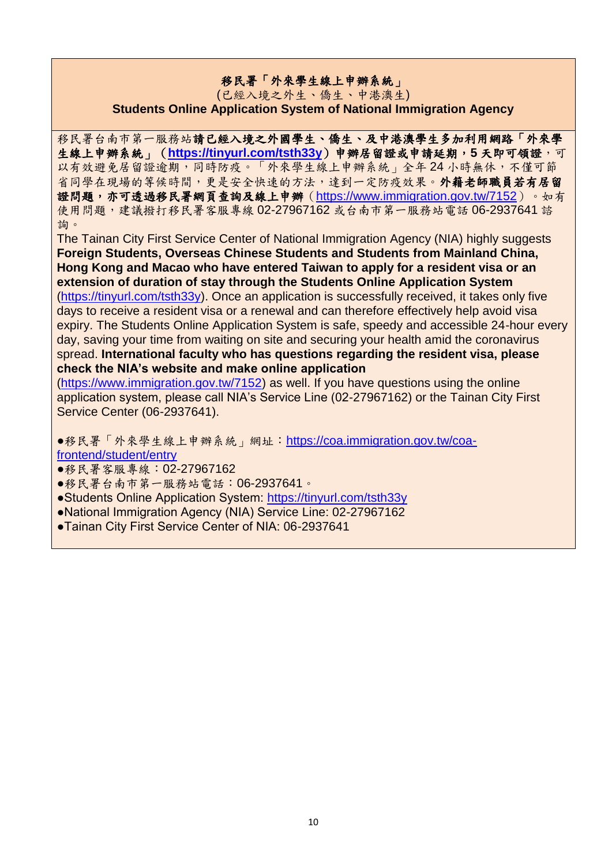## 移民署「外來學生線上申辦系統」

#### (已經入境之外生、僑生、中港澳生) **Students Online Application System of National Immigration Agency**

移民署台南市第一服務站請已經入境之外國學生、僑生、及中港澳學生多加利用網路「外來學 生線上申辦系統」(**<https://tinyurl.com/tsth33y>**)申辦居留證或申請延期,**5** 天即可領證,可 以有效避免居留證逾期,同時防疫。「外來學生線上申辦系統」全年24小時無休,不僅可節 省同學在現場的等候時間,更是安全快速的方法,達到一定防疫效果。外籍老師職員若有居留 證問題,亦可透過移民署網頁查詢及線上申辦 (<https://www.immigration.gov.tw/7152>)。如有 使用問題,建議撥打移民署客服專線 02-27967162 或台南市第一服務站電話 06-2937641 諮 詢。

The Tainan City First Service Center of National Immigration Agency (NIA) highly suggests **Foreign Students, Overseas Chinese Students and Students from Mainland China, Hong Kong and Macao who have entered Taiwan to apply for a resident visa or an extension of duration of stay through the Students Online Application System** [\(https://tinyurl.com/tsth33y\)](https://tinyurl.com/tsth33y). Once an application is successfully received, it takes only five days to receive a resident visa or a renewal and can therefore effectively help avoid visa expiry. The Students Online Application System is safe, speedy and accessible 24-hour every day, saving your time from waiting on site and securing your health amid the coronavirus spread. **International faculty who has questions regarding the resident visa, please check the NIA's website and make online application**

[\(https://www.immigration.gov.tw/7152\)](https://www.immigration.gov.tw/7152) as well. If you have questions using the online application system, please call NIA's Service Line (02-27967162) or the Tainan City First Service Center (06-2937641).

●移民署「外來學生線上申辦系統」網址:[https://coa.immigration.gov.tw/coa](https://coa.immigration.gov.tw/coa-frontend/student/entry)[frontend/student/entry](https://coa.immigration.gov.tw/coa-frontend/student/entry)

- ●移民署客服專線:02-27967162
- ●移民署台南市第一服務站電話:06-2937641。
- ●Students Online Application System:<https://tinyurl.com/tsth33y>
- ●National Immigration Agency (NIA) Service Line: 02-27967162
- ●Tainan City First Service Center of NIA: 06-2937641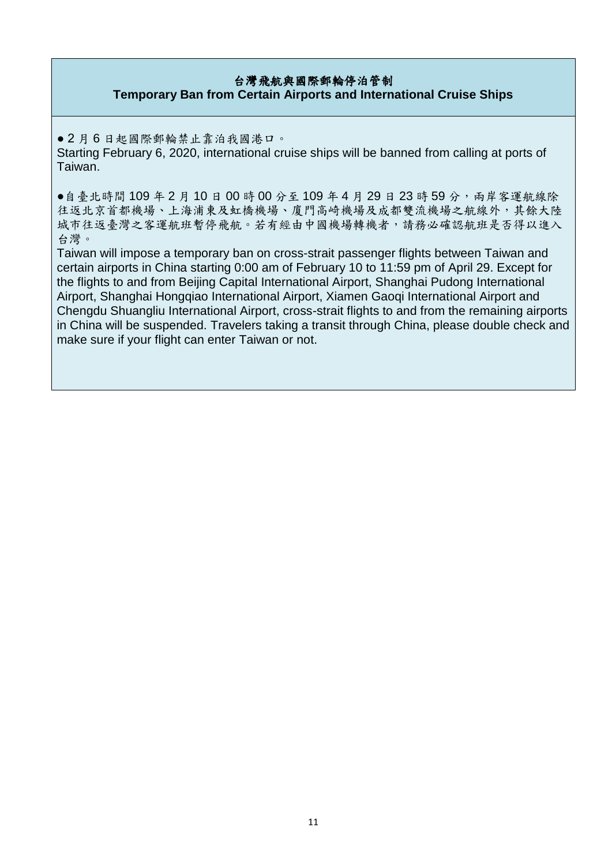### 台灣飛航與國際郵輪停泊管制 **Temporary Ban from Certain Airports and International Cruise Ships**

● 2 月 6 日起國際郵輪禁止靠泊我國港口。

Starting February 6, 2020, international cruise ships will be banned from calling at ports of Taiwan.

●自臺北時間 109年2月10日00時00分至109年4月29日23時59分,兩岸客運航線除 往返北京首都機場、上海浦東及虹橋機場、廈門高崎機場及成都雙流機場之航線外,其餘大陸 城市往返臺灣之客運航班暫停飛航。若有經由中國機場轉機者,請務必確認航班是否得以進入 台灣。

Taiwan will impose a temporary ban on cross-strait passenger flights between Taiwan and certain airports in China starting 0:00 am of February 10 to 11:59 pm of April 29. Except for the flights to and from Beijing Capital International Airport, Shanghai Pudong International Airport, Shanghai Hongqiao International Airport, Xiamen Gaoqi International Airport and Chengdu Shuangliu International Airport, cross-strait flights to and from the remaining airports in China will be suspended. Travelers taking a transit through China, please double check and make sure if your flight can enter Taiwan or not.